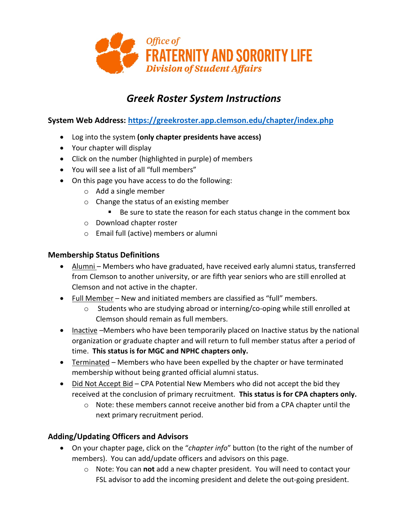

# *Greek Roster System Instructions*

**System Web Address:<https://greekroster.app.clemson.edu/chapter/index.php>**

- Log into the system **(only chapter presidents have access)**
- Your chapter will display
- Click on the number (highlighted in purple) of members
- You will see a list of all "full members"
- On this page you have access to do the following:
	- o Add a single member
	- o Change the status of an existing member
		- Be sure to state the reason for each status change in the comment box
	- o Download chapter roster
	- o Email full (active) members or alumni

### **Membership Status Definitions**

- Alumni-Members who have graduated, have received early alumni status, transferred from Clemson to another university, or are fifth year seniors who are still enrolled at Clemson and not active in the chapter.
- Full Member New and initiated members are classified as "full" members.
	- $\circ$  Students who are studying abroad or interning/co-oping while still enrolled at Clemson should remain as full members.
- Inactive –Members who have been temporarily placed on Inactive status by the national organization or graduate chapter and will return to full member status after a period of time. **This status is for MGC and NPHC chapters only.**
- Terminated Members who have been expelled by the chapter or have terminated membership without being granted official alumni status.
- Did Not Accept Bid CPA Potential New Members who did not accept the bid they received at the conclusion of primary recruitment. **This status is for CPA chapters only.**
	- $\circ$  Note: these members cannot receive another bid from a CPA chapter until the next primary recruitment period.

# **Adding/Updating Officers and Advisors**

- On your chapter page, click on the "*chapter info*" button (to the right of the number of members). You can add/update officers and advisors on this page.
	- o Note: You can **not** add a new chapter president. You will need to contact your FSL advisor to add the incoming president and delete the out-going president.